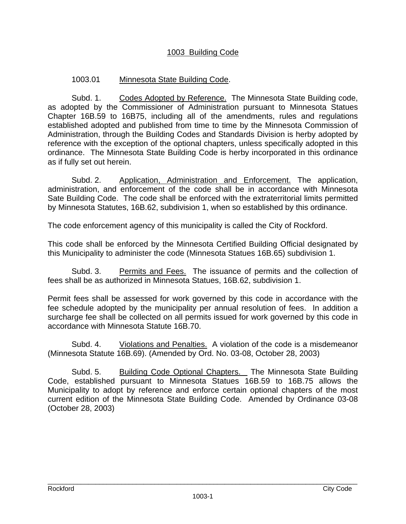## 1003 Building Code

# 1003.01 Minnesota State Building Code.

Subd. 1. Codes Adopted by Reference. The Minnesota State Building code, as adopted by the Commissioner of Administration pursuant to Minnesota Statues Chapter 16B.59 to 16B75, including all of the amendments, rules and regulations established adopted and published from time to time by the Minnesota Commission of Administration, through the Building Codes and Standards Division is herby adopted by reference with the exception of the optional chapters, unless specifically adopted in this ordinance. The Minnesota State Building Code is herby incorporated in this ordinance as if fully set out herein.

 Subd. 2. Application, Administration and Enforcement. The application, administration, and enforcement of the code shall be in accordance with Minnesota Sate Building Code. The code shall be enforced with the extraterritorial limits permitted by Minnesota Statutes, 16B.62, subdivision 1, when so established by this ordinance.

The code enforcement agency of this municipality is called the City of Rockford.

This code shall be enforced by the Minnesota Certified Building Official designated by this Municipality to administer the code (Minnesota Statues 16B.65) subdivision 1.

 Subd. 3. Permits and Fees. The issuance of permits and the collection of fees shall be as authorized in Minnesota Statues, 16B.62, subdivision 1.

Permit fees shall be assessed for work governed by this code in accordance with the fee schedule adopted by the municipality per annual resolution of fees. In addition a surcharge fee shall be collected on all permits issued for work governed by this code in accordance with Minnesota Statute 16B.70.

 Subd. 4. Violations and Penalties. A violation of the code is a misdemeanor (Minnesota Statute 16B.69). (Amended by Ord. No. 03-08, October 28, 2003)

 Subd. 5. Building Code Optional Chapters. The Minnesota State Building Code, established pursuant to Minnesota Statues 16B.59 to 16B.75 allows the Municipality to adopt by reference and enforce certain optional chapters of the most current edition of the Minnesota State Building Code. Amended by Ordinance 03-08 (October 28, 2003)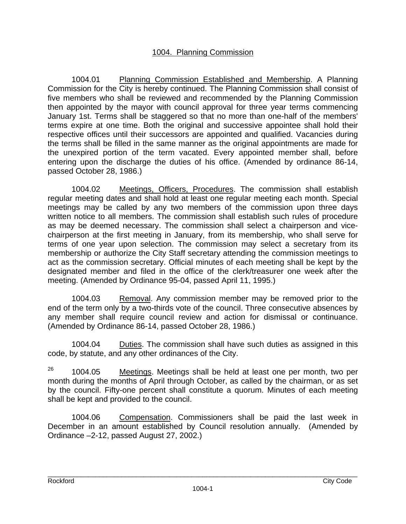## 1004. Planning Commission

1004.01 Planning Commission Established and Membership. A Planning Commission for the City is hereby continued. The Planning Commission shall consist of five members who shall be reviewed and recommended by the Planning Commission then appointed by the mayor with council approval for three year terms commencing January 1st. Terms shall be staggered so that no more than one-half of the members' terms expire at one time. Both the original and successive appointee shall hold their respective offices until their successors are appointed and qualified. Vacancies during the terms shall be filled in the same manner as the original appointments are made for the unexpired portion of the term vacated. Every appointed member shall, before entering upon the discharge the duties of his office. (Amended by ordinance 86-14, passed October 28, 1986.)

1004.02 Meetings, Officers, Procedures. The commission shall establish regular meeting dates and shall hold at least one regular meeting each month. Special meetings may be called by any two members of the commission upon three days written notice to all members. The commission shall establish such rules of procedure as may be deemed necessary. The commission shall select a chairperson and vicechairperson at the first meeting in January, from its membership, who shall serve for terms of one year upon selection. The commission may select a secretary from its membership or authorize the City Staff secretary attending the commission meetings to act as the commission secretary. Official minutes of each meeting shall be kept by the designated member and filed in the office of the clerk/treasurer one week after the meeting. (Amended by Ordinance 95-04, passed April 11, 1995.)

1004.03 Removal. Any commission member may be removed prior to the end of the term only by a two-thirds vote of the council. Three consecutive absences by any member shall require council review and action for dismissal or continuance. (Amended by Ordinance 86-14, passed October 28, 1986.)

1004.04 Duties. The commission shall have such duties as assigned in this code, by statute, and any other ordinances of the City.

 $26$  1004.05 Meetings. Meetings shall be held at least one per month, two per month during the months of April through October, as called by the chairman, or as set by the council. Fifty-one percent shall constitute a quorum. Minutes of each meeting shall be kept and provided to the council.

1004.06 Compensation. Commissioners shall be paid the last week in December in an amount established by Council resolution annually. (Amended by Ordinance –2-12, passed August 27, 2002.)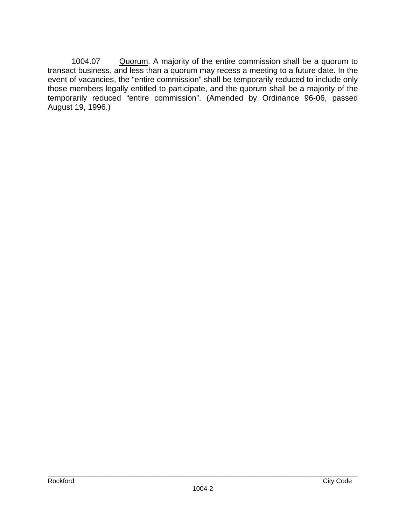1004.07 Quorum. A majority of the entire commission shall be a quorum to transact business, and less than a quorum may recess a meeting to a future date. In the event of vacancies, the "entire commission" shall be temporarily reduced to include only those members legally entitled to participate, and the quorum shall be a majority of the temporarily reduced "entire commission". (Amended by Ordinance 96-06, passed August 19, 1996.)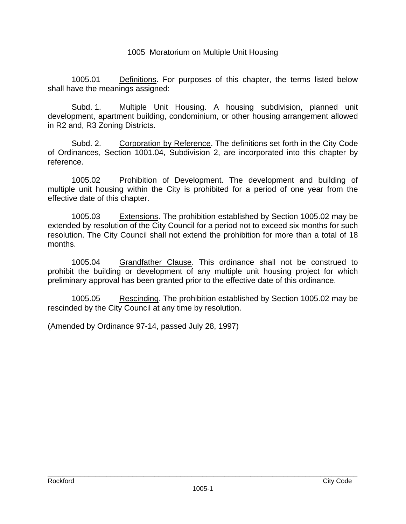#### 1005 Moratorium on Multiple Unit Housing

1005.01 Definitions. For purposes of this chapter, the terms listed below shall have the meanings assigned:

Subd. 1. Multiple Unit Housing. A housing subdivision, planned unit development, apartment building, condominium, or other housing arrangement allowed in R2 and, R3 Zoning Districts.

Subd. 2. Corporation by Reference. The definitions set forth in the City Code of Ordinances, Section 1001.04, Subdivision 2, are incorporated into this chapter by reference.

1005.02 Prohibition of Development. The development and building of multiple unit housing within the City is prohibited for a period of one year from the effective date of this chapter.

1005.03 Extensions. The prohibition established by Section 1005.02 may be extended by resolution of the City Council for a period not to exceed six months for such resolution. The City Council shall not extend the prohibition for more than a total of 18 months.

1005.04 Grandfather Clause. This ordinance shall not be construed to prohibit the building or development of any multiple unit housing project for which preliminary approval has been granted prior to the effective date of this ordinance.

1005.05 Rescinding. The prohibition established by Section 1005.02 may be rescinded by the City Council at any time by resolution.

(Amended by Ordinance 97-14, passed July 28, 1997)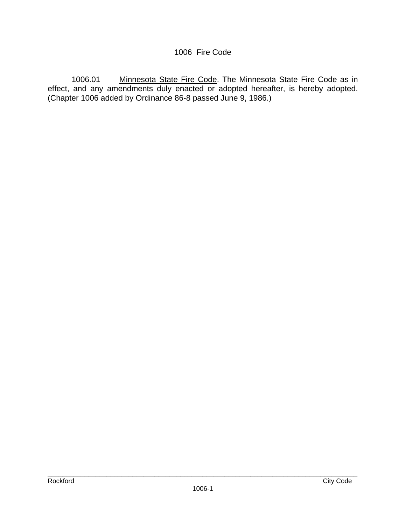# 1006 Fire Code

1006.01 Minnesota State Fire Code. The Minnesota State Fire Code as in effect, and any amendments duly enacted or adopted hereafter, is hereby adopted. (Chapter 1006 added by Ordinance 86-8 passed June 9, 1986.)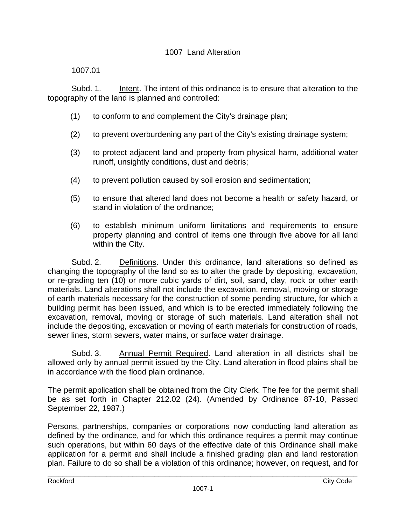# 1007 Land Alteration

1007.01

 Subd. 1. Intent. The intent of this ordinance is to ensure that alteration to the topography of the land is planned and controlled:

- (1) to conform to and complement the City's drainage plan;
- (2) to prevent overburdening any part of the City's existing drainage system;
- (3) to protect adjacent land and property from physical harm, additional water runoff, unsightly conditions, dust and debris;
- (4) to prevent pollution caused by soil erosion and sedimentation;
- (5) to ensure that altered land does not become a health or safety hazard, or stand in violation of the ordinance;
- (6) to establish minimum uniform limitations and requirements to ensure property planning and control of items one through five above for all land within the City.

 Subd. 2. Definitions. Under this ordinance, land alterations so defined as changing the topography of the land so as to alter the grade by depositing, excavation, or re-grading ten (10) or more cubic yards of dirt, soil, sand, clay, rock or other earth materials. Land alterations shall not include the excavation, removal, moving or storage of earth materials necessary for the construction of some pending structure, for which a building permit has been issued, and which is to be erected immediately following the excavation, removal, moving or storage of such materials. Land alteration shall not include the depositing, excavation or moving of earth materials for construction of roads, sewer lines, storm sewers, water mains, or surface water drainage.

Subd. 3. Annual Permit Required. Land alteration in all districts shall be allowed only by annual permit issued by the City. Land alteration in flood plains shall be in accordance with the flood plain ordinance.

The permit application shall be obtained from the City Clerk. The fee for the permit shall be as set forth in Chapter 212.02 (24). (Amended by Ordinance 87-10, Passed September 22, 1987.)

Persons, partnerships, companies or corporations now conducting land alteration as defined by the ordinance, and for which this ordinance requires a permit may continue such operations, but within 60 days of the effective date of this Ordinance shall make application for a permit and shall include a finished grading plan and land restoration plan. Failure to do so shall be a violation of this ordinance; however, on request, and for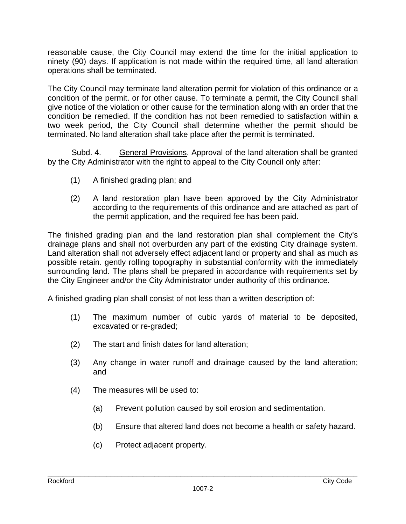reasonable cause, the City Council may extend the time for the initial application to ninety (90) days. If application is not made within the required time, all land alteration operations shall be terminated.

The City Council may terminate land alteration permit for violation of this ordinance or a condition of the permit. or for other cause. To terminate a permit, the City Council shall give notice of the violation or other cause for the termination along with an order that the condition be remedied. If the condition has not been remedied to satisfaction within a two week period, the City Council shall determine whether the permit should be terminated. No land alteration shall take place after the permit is terminated.

Subd. 4. General Provisions. Approval of the land alteration shall be granted by the City Administrator with the right to appeal to the City Council only after:

- (1) A finished grading plan; and
- (2) A land restoration plan have been approved by the City Administrator according to the requirements of this ordinance and are attached as part of the permit application, and the required fee has been paid.

The finished grading plan and the land restoration plan shall complement the City's drainage plans and shall not overburden any part of the existing City drainage system. Land alteration shall not adversely effect adjacent land or property and shall as much as possible retain. gently rolling topography in substantial conformity with the immediately surrounding land. The plans shall be prepared in accordance with requirements set by the City Engineer and/or the City Administrator under authority of this ordinance.

A finished grading plan shall consist of not less than a written description of:

- (1) The maximum number of cubic yards of material to be deposited, excavated or re-graded;
- (2) The start and finish dates for land alteration;
- (3) Any change in water runoff and drainage caused by the land alteration; and
- (4) The measures will be used to:
	- (a) Prevent pollution caused by soil erosion and sedimentation.
	- (b) Ensure that altered land does not become a health or safety hazard.
	- (c) Protect adjacent property.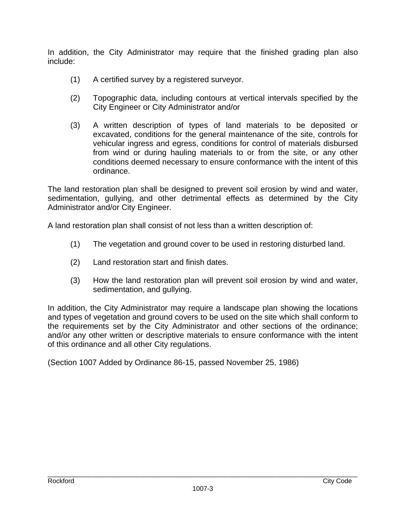In addition, the City Administrator may require that the finished grading plan also include:

- (1) A certified survey by a registered surveyor.
- (2) Topographic data, including contours at vertical intervals specified by the City Engineer or City Administrator and/or
- (3) A written description of types of land materials to be deposited or excavated, conditions for the general maintenance of the site, controls for vehicular ingress and egress, conditions for control of materials disbursed from wind or during hauling materials to or from the site, or any other conditions deemed necessary to ensure conformance with the intent of this ordinance.

The land restoration plan shall be designed to prevent soil erosion by wind and water, sedimentation, gullying, and other detrimental effects as determined by the City Administrator and/or City Engineer.

A land restoration plan shall consist of not less than a written description of:

- (1) The vegetation and ground cover to be used in restoring disturbed land.
- (2) Land restoration start and finish dates.
- (3) How the land restoration plan will prevent soil erosion by wind and water, sedimentation, and gullying.

In addition, the City Administrator may require a landscape plan showing the locations and types of vegetation and ground covers to be used on the site which shall conform to the requirements set by the City Administrator and other sections of the ordinance; and/or any other written or descriptive materials to ensure conformance with the intent of this ordinance and all other City regulations.

(Section 1007 Added by Ordinance 86-15, passed November 25, 1986)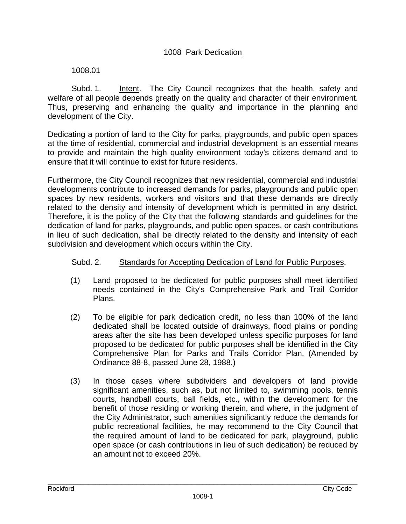#### 1008.01

 Subd. 1. Intent. The City Council recognizes that the health, safety and welfare of all people depends greatly on the quality and character of their environment. Thus, preserving and enhancing the quality and importance in the planning and development of the City.

Dedicating a portion of land to the City for parks, playgrounds, and public open spaces at the time of residential, commercial and industrial development is an essential means to provide and maintain the high quality environment today's citizens demand and to ensure that it will continue to exist for future residents.

Furthermore, the City Council recognizes that new residential, commercial and industrial developments contribute to increased demands for parks, playgrounds and public open spaces by new residents, workers and visitors and that these demands are directly related to the density and intensity of development which is permitted in any district. Therefore, it is the policy of the City that the following standards and guidelines for the dedication of land for parks, playgrounds, and public open spaces, or cash contributions in lieu of such dedication, shall be directly related to the density and intensity of each subdivision and development which occurs within the City.

#### Subd. 2. Standards for Accepting Dedication of Land for Public Purposes.

- (1) Land proposed to be dedicated for public purposes shall meet identified needs contained in the City's Comprehensive Park and Trail Corridor Plans.
- (2) To be eligible for park dedication credit, no less than 100% of the land dedicated shall be located outside of drainways, flood plains or ponding areas after the site has been developed unless specific purposes for land proposed to be dedicated for public purposes shall be identified in the City Comprehensive Plan for Parks and Trails Corridor Plan. (Amended by Ordinance 88-8, passed June 28, 1988.)
- (3) In those cases where subdividers and developers of land provide significant amenities, such as, but not limited to, swimming pools, tennis courts, handball courts, ball fields, etc., within the development for the benefit of those residing or working therein, and where, in the judgment of the City Administrator, such amenities significantly reduce the demands for public recreational facilities, he may recommend to the City Council that the required amount of land to be dedicated for park, playground, public open space (or cash contributions in lieu of such dedication) be reduced by an amount not to exceed 20%.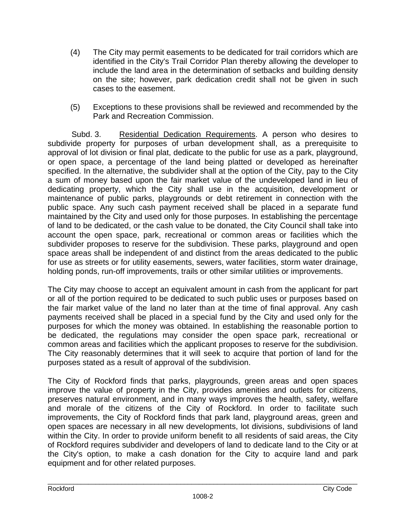- (4) The City may permit easements to be dedicated for trail corridors which are identified in the City's Trail Corridor Plan thereby allowing the developer to include the land area in the determination of setbacks and building density on the site; however, park dedication credit shall not be given in such cases to the easement.
- (5) Exceptions to these provisions shall be reviewed and recommended by the Park and Recreation Commission.

 Subd. 3. Residential Dedication Requirements. A person who desires to subdivide property for purposes of urban development shall, as a prerequisite to approval of lot division or final plat, dedicate to the public for use as a park, playground, or open space, a percentage of the land being platted or developed as hereinafter specified. In the alternative, the subdivider shall at the option of the City, pay to the City a sum of money based upon the fair market value of the undeveloped land in lieu of dedicating property, which the City shall use in the acquisition, development or maintenance of public parks, playgrounds or debt retirement in connection with the public space. Any such cash payment received shall be placed in a separate fund maintained by the City and used only for those purposes. In establishing the percentage of land to be dedicated, or the cash value to be donated, the City Council shall take into account the open space, park, recreational or common areas or facilities which the subdivider proposes to reserve for the subdivision. These parks, playground and open space areas shall be independent of and distinct from the areas dedicated to the public for use as streets or for utility easements, sewers, water facilities, storm water drainage, holding ponds, run-off improvements, trails or other similar utilities or improvements.

The City may choose to accept an equivalent amount in cash from the applicant for part or all of the portion required to be dedicated to such public uses or purposes based on the fair market value of the land no later than at the time of final approval. Any cash payments received shall be placed in a special fund by the City and used only for the purposes for which the money was obtained. In establishing the reasonable portion to be dedicated, the regulations may consider the open space park, recreational or common areas and facilities which the applicant proposes to reserve for the subdivision. The City reasonably determines that it will seek to acquire that portion of land for the purposes stated as a result of approval of the subdivision.

The City of Rockford finds that parks, playgrounds, green areas and open spaces improve the value of property in the City, provides amenities and outlets for citizens, preserves natural environment, and in many ways improves the health, safety, welfare and morale of the citizens of the City of Rockford. In order to facilitate such improvements, the City of Rockford finds that park land, playground areas, green and open spaces are necessary in all new developments, lot divisions, subdivisions of land within the City. In order to provide uniform benefit to all residents of said areas, the City of Rockford requires subdivider and developers of land to dedicate land to the City or at the City's option, to make a cash donation for the City to acquire land and park equipment and for other related purposes.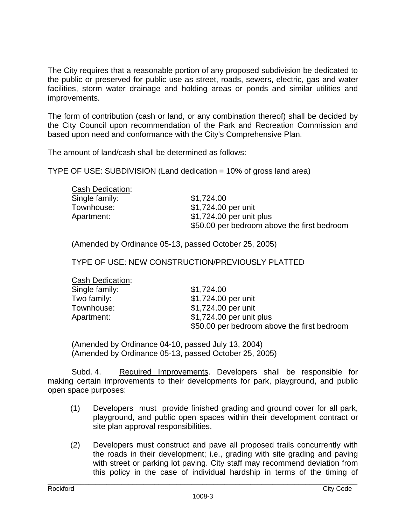The City requires that a reasonable portion of any proposed subdivision be dedicated to the public or preserved for public use as street, roads, sewers, electric, gas and water facilities, storm water drainage and holding areas or ponds and similar utilities and improvements.

The form of contribution (cash or land, or any combination thereof) shall be decided by the City Council upon recommendation of the Park and Recreation Commission and based upon need and conformance with the City's Comprehensive Plan.

The amount of land/cash shall be determined as follows:

TYPE OF USE: SUBDIVISION (Land dedication = 10% of gross land area)

| Cash Dedication: |                                             |
|------------------|---------------------------------------------|
| Single family:   | \$1,724.00                                  |
| Townhouse:       | \$1,724.00 per unit                         |
| Apartment:       | \$1,724.00 per unit plus                    |
|                  | \$50.00 per bedroom above the first bedroom |

(Amended by Ordinance 05-13, passed October 25, 2005)

TYPE OF USE: NEW CONSTRUCTION/PREVIOUSLY PLATTED

| Cash Dedication: |                                             |
|------------------|---------------------------------------------|
| Single family:   | \$1,724.00                                  |
| Two family:      | \$1,724.00 per unit                         |
| Townhouse:       | \$1,724.00 per unit                         |
| Apartment:       | \$1,724.00 per unit plus                    |
|                  | \$50.00 per bedroom above the first bedroom |

 (Amended by Ordinance 04-10, passed July 13, 2004) (Amended by Ordinance 05-13, passed October 25, 2005)

 Subd. 4. Required Improvements. Developers shall be responsible for making certain improvements to their developments for park, playground, and public open space purposes:

- (1) Developers must provide finished grading and ground cover for all park, playground, and public open spaces within their development contract or site plan approval responsibilities.
- (2) Developers must construct and pave all proposed trails concurrently with the roads in their development; i.e., grading with site grading and paving with street or parking lot paving. City staff may recommend deviation from this policy in the case of individual hardship in terms of the timing of